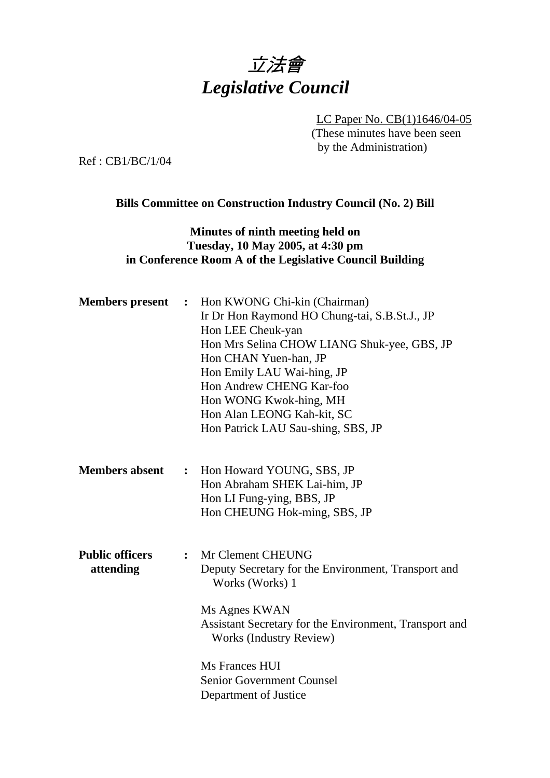

LC Paper No. CB(1)1646/04-05 (These minutes have been seen by the Administration)

Ref : CB1/BC/1/04

## **Bills Committee on Construction Industry Council (No. 2) Bill**

## **Minutes of ninth meeting held on Tuesday, 10 May 2005, at 4:30 pm in Conference Room A of the Legislative Council Building**

| <b>Members</b> present              | $\ddot{\cdot}$ | Hon KWONG Chi-kin (Chairman)<br>Ir Dr Hon Raymond HO Chung-tai, S.B.St.J., JP<br>Hon LEE Cheuk-yan<br>Hon Mrs Selina CHOW LIANG Shuk-yee, GBS, JP<br>Hon CHAN Yuen-han, JP<br>Hon Emily LAU Wai-hing, JP<br>Hon Andrew CHENG Kar-foo<br>Hon WONG Kwok-hing, MH<br>Hon Alan LEONG Kah-kit, SC<br>Hon Patrick LAU Sau-shing, SBS, JP |
|-------------------------------------|----------------|------------------------------------------------------------------------------------------------------------------------------------------------------------------------------------------------------------------------------------------------------------------------------------------------------------------------------------|
| <b>Members absent</b>               |                | : Hon Howard YOUNG, SBS, JP<br>Hon Abraham SHEK Lai-him, JP<br>Hon LI Fung-ying, BBS, JP<br>Hon CHEUNG Hok-ming, SBS, JP                                                                                                                                                                                                           |
| <b>Public officers</b><br>attending | $\ddot{\cdot}$ | Mr Clement CHEUNG<br>Deputy Secretary for the Environment, Transport and<br>Works (Works) 1<br>Ms Agnes KWAN<br>Assistant Secretary for the Environment, Transport and<br><b>Works (Industry Review)</b><br>Ms Frances HUI<br><b>Senior Government Counsel</b><br>Department of Justice                                            |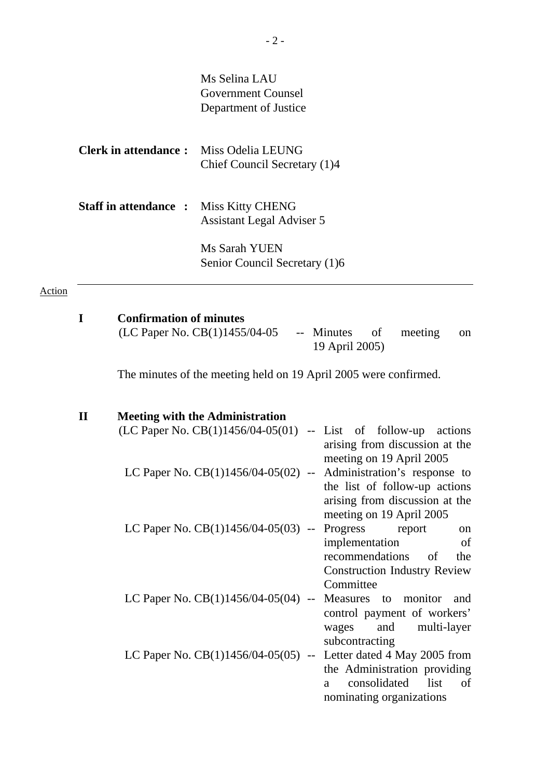|                                               | Ms Selina LAU                 |
|-----------------------------------------------|-------------------------------|
|                                               | Government Counsel            |
|                                               | Department of Justice         |
| <b>Clerk in attendance:</b> Miss Odelia LEUNG | Chief Council Secretary (1)4  |
| <b>Staff in attendance : Miss Kitty CHENG</b> |                               |
|                                               | Assistant Legal Adviser 5     |
|                                               |                               |
|                                               | Ms Sarah YUEN                 |
|                                               | Senior Council Secretary (1)6 |
|                                               |                               |

# Action

| <b>Confirmation of minutes</b>    |                                 |         |               |
|-----------------------------------|---------------------------------|---------|---------------|
| (LC Paper No. $CB(1)1455/04-05$ ) | -- Minutes of<br>19 April 2005) | meeting | <sub>on</sub> |
|                                   |                                 |         |               |

The minutes of the meeting held on 19 April 2005 were confirmed.

| $\mathbf{I}\mathbf{I}$ | <b>Meeting with the Administration</b> |                                     |
|------------------------|----------------------------------------|-------------------------------------|
|                        | (LC Paper No. $CB(1)1456/04-05(01)$    | -- List of follow-up actions        |
|                        |                                        | arising from discussion at the      |
|                        |                                        | meeting on 19 April 2005            |
|                        | LC Paper No. $CB(1)1456/04-05(02)$ --  | Administration's response to        |
|                        |                                        | the list of follow-up actions       |
|                        |                                        | arising from discussion at the      |
|                        |                                        | meeting on 19 April 2005            |
|                        | LC Paper No. $CB(1)1456/04-05(03)$ --  | Progress report<br>on               |
|                        |                                        | implementation<br>of                |
|                        |                                        | recommendations of<br>the           |
|                        |                                        | <b>Construction Industry Review</b> |
|                        |                                        | Committee                           |
|                        | LC Paper No. $CB(1)1456/04-05(04)$ --  | Measures to monitor<br>and          |
|                        |                                        | control payment of workers'         |
|                        |                                        | wages and<br>multi-layer            |
|                        |                                        | subcontracting                      |
|                        | LC Paper No. $CB(1)1456/04-05(05)$ --  | Letter dated 4 May 2005 from        |
|                        |                                        | the Administration providing        |
|                        |                                        | consolidated list<br>of<br>a        |
|                        |                                        | nominating organizations            |
|                        |                                        |                                     |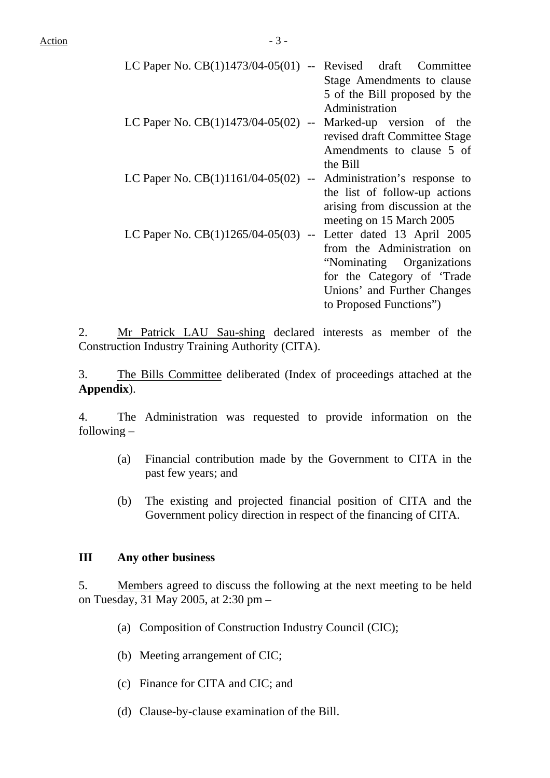| LC Paper No. $CB(1)1473/04-05(01)$ -- Revised draft Committee  |                                |
|----------------------------------------------------------------|--------------------------------|
|                                                                | Stage Amendments to clause     |
|                                                                | 5 of the Bill proposed by the  |
|                                                                | Administration                 |
| LC Paper No. $CB(1)1473/04-05(02)$ --                          | Marked-up version of the       |
|                                                                | revised draft Committee Stage  |
|                                                                | Amendments to clause 5 of      |
|                                                                | the Bill                       |
| LC Paper No. $CB(1)1161/04-05(02)$ --                          | Administration's response to   |
|                                                                | the list of follow-up actions  |
|                                                                | arising from discussion at the |
|                                                                | meeting on 15 March 2005       |
| LC Paper No. CB(1)1265/04-05(03) -- Letter dated 13 April 2005 |                                |
|                                                                | from the Administration on     |
|                                                                | "Nominating Organizations"     |
|                                                                | for the Category of 'Trade     |
|                                                                | Unions' and Further Changes    |
|                                                                | to Proposed Functions")        |
|                                                                |                                |

2. Mr Patrick LAU Sau-shing declared interests as member of the Construction Industry Training Authority (CITA).

3. The Bills Committee deliberated (Index of proceedings attached at the **Appendix**).

4. The Administration was requested to provide information on the following –

- (a) Financial contribution made by the Government to CITA in the past few years; and
- (b) The existing and projected financial position of CITA and the Government policy direction in respect of the financing of CITA.

#### **III Any other business**

5. Members agreed to discuss the following at the next meeting to be held on Tuesday, 31 May 2005, at 2:30 pm –

- (a) Composition of Construction Industry Council (CIC);
- (b) Meeting arrangement of CIC;
- (c) Finance for CITA and CIC; and
- (d) Clause-by-clause examination of the Bill.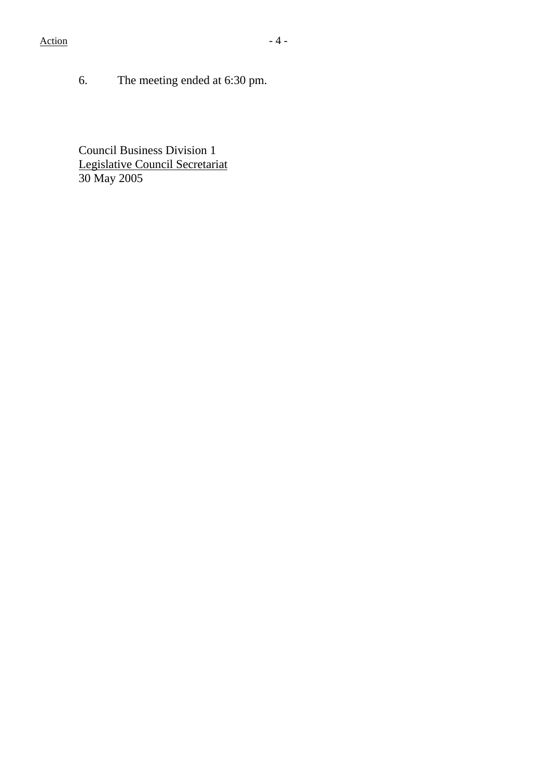6. The meeting ended at 6:30 pm.

Council Business Division 1 Legislative Council Secretariat 30 May 2005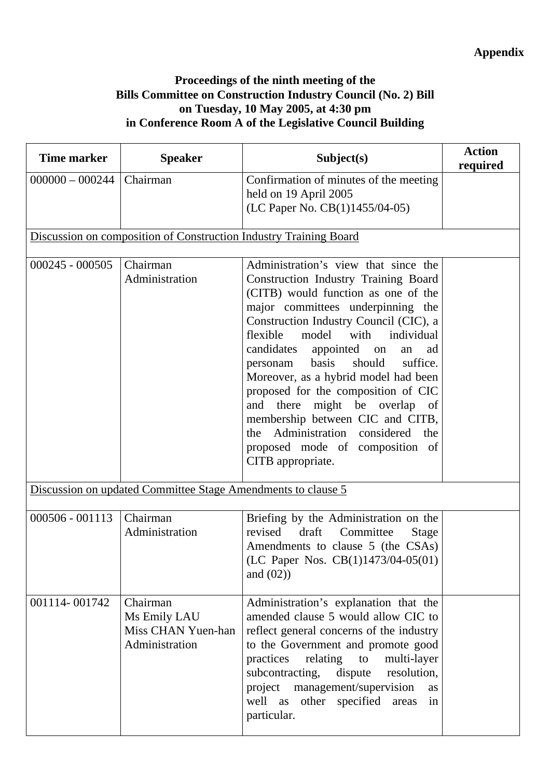## **Proceedings of the ninth meeting of the Bills Committee on Construction Industry Council (No. 2) Bill on Tuesday, 10 May 2005, at 4:30 pm in Conference Room A of the Legislative Council Building**

| <b>Time marker</b> | <b>Speaker</b>                                                    | Subject(s)                                                                                                                                                                                                                                                                                                                                                                                                                                                                                                                                                                                | <b>Action</b><br>required |
|--------------------|-------------------------------------------------------------------|-------------------------------------------------------------------------------------------------------------------------------------------------------------------------------------------------------------------------------------------------------------------------------------------------------------------------------------------------------------------------------------------------------------------------------------------------------------------------------------------------------------------------------------------------------------------------------------------|---------------------------|
| $000000 - 000244$  | Chairman                                                          | Confirmation of minutes of the meeting<br>held on 19 April 2005<br>(LC Paper No. CB(1)1455/04-05)                                                                                                                                                                                                                                                                                                                                                                                                                                                                                         |                           |
|                    | Discussion on composition of Construction Industry Training Board |                                                                                                                                                                                                                                                                                                                                                                                                                                                                                                                                                                                           |                           |
| $000245 - 000505$  | Chairman<br>Administration                                        | Administration's view that since the<br>Construction Industry Training Board<br>(CITB) would function as one of the<br>major committees underpinning the<br>Construction Industry Council (CIC), a<br>flexible<br>model<br>with<br>individual<br>candidates<br>appointed on<br>an<br>ad<br>should<br>basis<br>suffice.<br>personam<br>Moreover, as a hybrid model had been<br>proposed for the composition of CIC<br>and there might be overlap of<br>membership between CIC and CITB,<br>Administration considered<br>the<br>the<br>proposed mode of composition of<br>CITB appropriate. |                           |
|                    | Discussion on updated Committee Stage Amendments to clause 5      |                                                                                                                                                                                                                                                                                                                                                                                                                                                                                                                                                                                           |                           |
| $000506 - 001113$  | Chairman<br>Administration                                        | Briefing by the Administration on the<br>draft<br>revised<br>Committee<br>Stage<br>Amendments to clause 5 (the CSAs)<br>(LC Paper Nos. $CB(1)1473/04-05(01)$<br>and $(02)$                                                                                                                                                                                                                                                                                                                                                                                                                |                           |
| 001114-001742      | Chairman<br>Ms Emily LAU<br>Miss CHAN Yuen-han<br>Administration  | Administration's explanation that the<br>amended clause 5 would allow CIC to<br>reflect general concerns of the industry<br>to the Government and promote good<br>practices<br>relating<br>multi-layer<br>to<br>subcontracting,<br>dispute<br>resolution,<br>management/supervision<br>project<br><b>as</b><br>well as other specified areas<br>in<br>particular.                                                                                                                                                                                                                         |                           |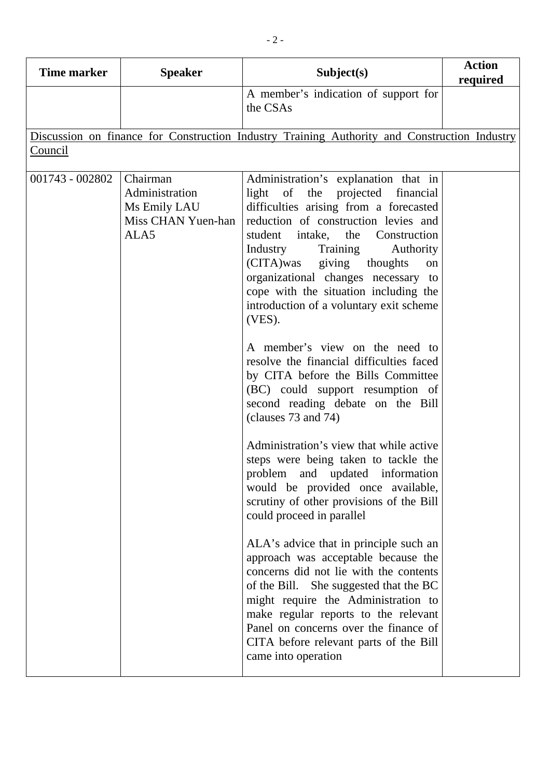| <b>Time marker</b> | <b>Speaker</b>                                                           | Subject(s)                                                                                                                                                                                                                                                                                                                                                                                                                                                                                                                                                                                                                                                                                                                                                                                                                                                                                                                                                                                                                                                                                                                                                                                                                                    | <b>Action</b><br>required |
|--------------------|--------------------------------------------------------------------------|-----------------------------------------------------------------------------------------------------------------------------------------------------------------------------------------------------------------------------------------------------------------------------------------------------------------------------------------------------------------------------------------------------------------------------------------------------------------------------------------------------------------------------------------------------------------------------------------------------------------------------------------------------------------------------------------------------------------------------------------------------------------------------------------------------------------------------------------------------------------------------------------------------------------------------------------------------------------------------------------------------------------------------------------------------------------------------------------------------------------------------------------------------------------------------------------------------------------------------------------------|---------------------------|
|                    |                                                                          | A member's indication of support for<br>the CSAs                                                                                                                                                                                                                                                                                                                                                                                                                                                                                                                                                                                                                                                                                                                                                                                                                                                                                                                                                                                                                                                                                                                                                                                              |                           |
|                    |                                                                          | Discussion on finance for Construction Industry Training Authority and Construction Industry                                                                                                                                                                                                                                                                                                                                                                                                                                                                                                                                                                                                                                                                                                                                                                                                                                                                                                                                                                                                                                                                                                                                                  |                           |
| Council            |                                                                          |                                                                                                                                                                                                                                                                                                                                                                                                                                                                                                                                                                                                                                                                                                                                                                                                                                                                                                                                                                                                                                                                                                                                                                                                                                               |                           |
| 001743 - 002802    | Chairman<br>Administration<br>Ms Emily LAU<br>Miss CHAN Yuen-han<br>ALA5 | Administration's explanation that in<br>of the projected<br>light<br>financial<br>difficulties arising from a forecasted<br>reduction of construction levies and<br>intake, the Construction<br>student<br>Industry<br>Training<br>Authority<br>(CITA)was giving thoughts<br>on<br>organizational changes necessary to<br>cope with the situation including the<br>introduction of a voluntary exit scheme<br>$(VES)$ .<br>A member's view on the need to<br>resolve the financial difficulties faced<br>by CITA before the Bills Committee<br>(BC) could support resumption of<br>second reading debate on the Bill<br>(clauses 73 and 74)<br>Administration's view that while active<br>steps were being taken to tackle the<br>problem and updated information<br>would be provided once available,<br>scrutiny of other provisions of the Bill<br>could proceed in parallel<br>ALA's advice that in principle such an<br>approach was acceptable because the<br>concerns did not lie with the contents<br>of the Bill. She suggested that the BC<br>might require the Administration to<br>make regular reports to the relevant<br>Panel on concerns over the finance of<br>CITA before relevant parts of the Bill<br>came into operation |                           |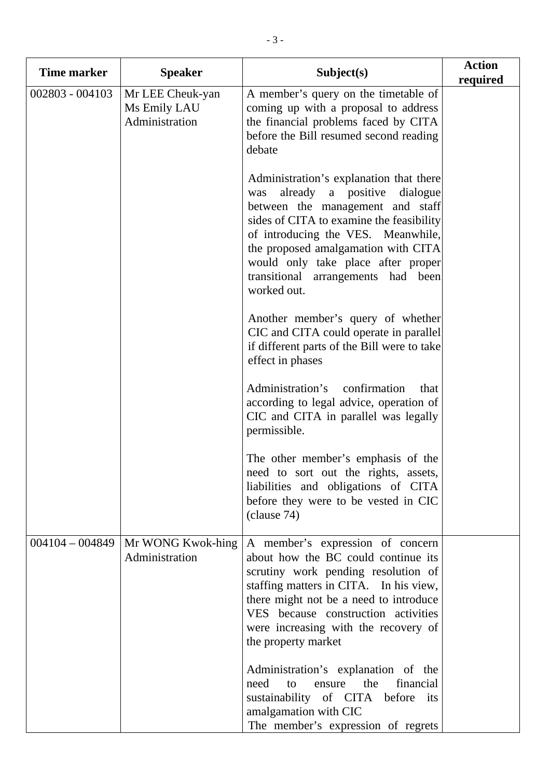| <b>Time marker</b> | <b>Speaker</b>                                     | Subject(s)                                                                                                                                                                                                                                                                                                                                  | <b>Action</b><br>required |
|--------------------|----------------------------------------------------|---------------------------------------------------------------------------------------------------------------------------------------------------------------------------------------------------------------------------------------------------------------------------------------------------------------------------------------------|---------------------------|
| 002803 - 004103    | Mr LEE Cheuk-yan<br>Ms Emily LAU<br>Administration | A member's query on the timetable of<br>coming up with a proposal to address<br>the financial problems faced by CITA<br>before the Bill resumed second reading<br>debate                                                                                                                                                                    |                           |
|                    |                                                    | Administration's explanation that there<br>already<br>a positive<br>dialogue<br>was<br>between the management and staff<br>sides of CITA to examine the feasibility<br>of introducing the VES. Meanwhile,<br>the proposed amalgamation with CITA<br>would only take place after proper<br>transitional arrangements had been<br>worked out. |                           |
|                    |                                                    | Another member's query of whether<br>CIC and CITA could operate in parallel<br>if different parts of the Bill were to take<br>effect in phases                                                                                                                                                                                              |                           |
|                    |                                                    | Administration's<br>confirmation<br>that<br>according to legal advice, operation of<br>CIC and CITA in parallel was legally<br>permissible.                                                                                                                                                                                                 |                           |
|                    |                                                    | The other member's emphasis of the<br>need to sort out the rights, assets,<br>liabilities and obligations of CITA<br>before they were to be vested in CIC<br>clause 74)                                                                                                                                                                     |                           |
| $004104 - 004849$  | Mr WONG Kwok-hing<br>Administration                | A member's expression of concern<br>about how the BC could continue its<br>scrutiny work pending resolution of<br>staffing matters in CITA. In his view,<br>there might not be a need to introduce<br>VES because construction activities<br>were increasing with the recovery of<br>the property market                                    |                           |
|                    |                                                    | Administration's explanation of the<br>the<br>financial<br>to<br>need<br>ensure<br>sustainability of CITA before<br>its<br>amalgamation with CIC<br>The member's expression of regrets                                                                                                                                                      |                           |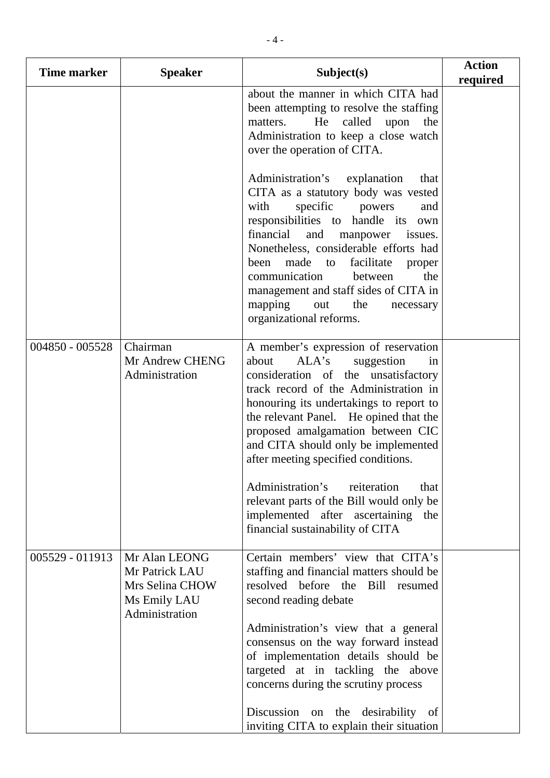| <b>Time marker</b> | <b>Speaker</b>                                                                       | Subject(s)                                                                                                                                                                                                                                                                                                                                                                                                                            | <b>Action</b><br>required |
|--------------------|--------------------------------------------------------------------------------------|---------------------------------------------------------------------------------------------------------------------------------------------------------------------------------------------------------------------------------------------------------------------------------------------------------------------------------------------------------------------------------------------------------------------------------------|---------------------------|
|                    |                                                                                      | about the manner in which CITA had<br>been attempting to resolve the staffing<br>He called<br>matters.<br>upon<br>the<br>Administration to keep a close watch<br>over the operation of CITA.                                                                                                                                                                                                                                          |                           |
|                    |                                                                                      | Administration's<br>explanation<br>that<br>CITA as a statutory body was vested<br>specific<br>with<br>powers<br>and<br>responsibilities to handle its own<br>financial<br>and<br>manpower<br>issues.<br>Nonetheless, considerable efforts had<br>made to<br>facilitate<br>been<br>proper<br>communication<br>between<br>the<br>management and staff sides of CITA in<br>mapping<br>the<br>out<br>necessary<br>organizational reforms. |                           |
| 004850 - 005528    | Chairman<br>Mr Andrew CHENG<br>Administration                                        | A member's expression of reservation<br>ALA's<br>suggestion<br>about<br>in<br>consideration of the unsatisfactory<br>track record of the Administration in<br>honouring its undertakings to report to<br>the relevant Panel. He opined that the<br>proposed amalgamation between CIC<br>and CITA should only be implemented<br>after meeting specified conditions.<br>Administration's<br>reiteration<br>that                         |                           |
|                    |                                                                                      | relevant parts of the Bill would only be<br>implemented after ascertaining the<br>financial sustainability of CITA                                                                                                                                                                                                                                                                                                                    |                           |
| 005529 - 011913    | Mr Alan LEONG<br>Mr Patrick LAU<br>Mrs Selina CHOW<br>Ms Emily LAU<br>Administration | Certain members' view that CITA's<br>staffing and financial matters should be<br>resolved before the<br>Bill<br>resumed<br>second reading debate<br>Administration's view that a general<br>consensus on the way forward instead<br>of implementation details should be<br>targeted at in tackling the above<br>concerns during the scrutiny process                                                                                  |                           |
|                    |                                                                                      | Discussion on the desirability of<br>inviting CITA to explain their situation                                                                                                                                                                                                                                                                                                                                                         |                           |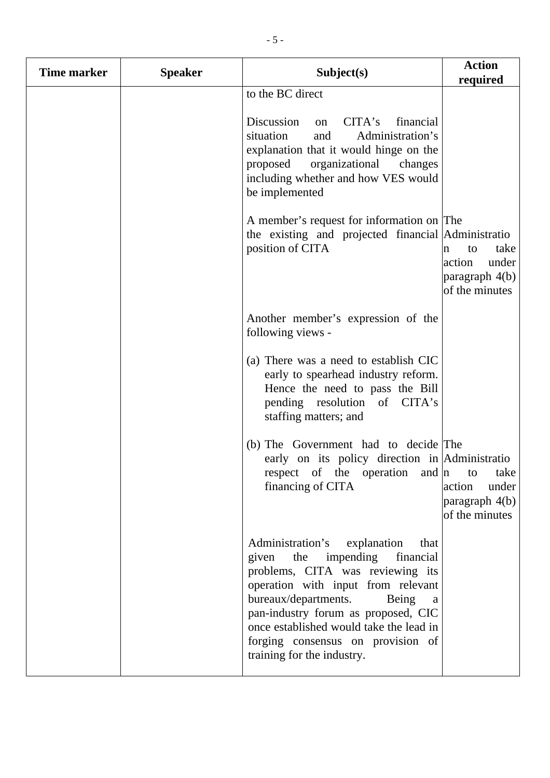| <b>Time marker</b> | <b>Speaker</b> | Subject(s)                                                                                                                                                                                                                                                                                                                                       | <b>Action</b><br>required                                              |
|--------------------|----------------|--------------------------------------------------------------------------------------------------------------------------------------------------------------------------------------------------------------------------------------------------------------------------------------------------------------------------------------------------|------------------------------------------------------------------------|
|                    |                | to the BC direct                                                                                                                                                                                                                                                                                                                                 |                                                                        |
|                    |                | Discussion<br>CITA's<br>financial<br>on<br>situation<br>Administration's<br>and<br>explanation that it would hinge on the<br>organizational changes<br>proposed<br>including whether and how VES would<br>be implemented                                                                                                                         |                                                                        |
|                    |                | A member's request for information on The<br>the existing and projected financial Administratio<br>position of CITA                                                                                                                                                                                                                              | take<br>to<br>n<br>action<br>under<br>paragraph 4(b)<br>of the minutes |
|                    |                | Another member's expression of the<br>following views -                                                                                                                                                                                                                                                                                          |                                                                        |
|                    |                | (a) There was a need to establish CIC<br>early to spearhead industry reform.<br>Hence the need to pass the Bill<br>pending resolution of CITA's<br>staffing matters; and                                                                                                                                                                         |                                                                        |
|                    |                | (b) The Government had to decide The<br>early on its policy direction in Administratio<br>respect of the operation and $ n \tto \t_{\text{take}}$<br>financing of CITA                                                                                                                                                                           | under<br>action<br>paragraph $4(b)$<br>of the minutes                  |
|                    |                | Administration's explanation<br>that<br>impending financial<br>the<br>given<br>problems, CITA was reviewing its<br>operation with input from relevant<br>bureaux/departments.<br>Being<br>a<br>pan-industry forum as proposed, CIC<br>once established would take the lead in<br>forging consensus on provision of<br>training for the industry. |                                                                        |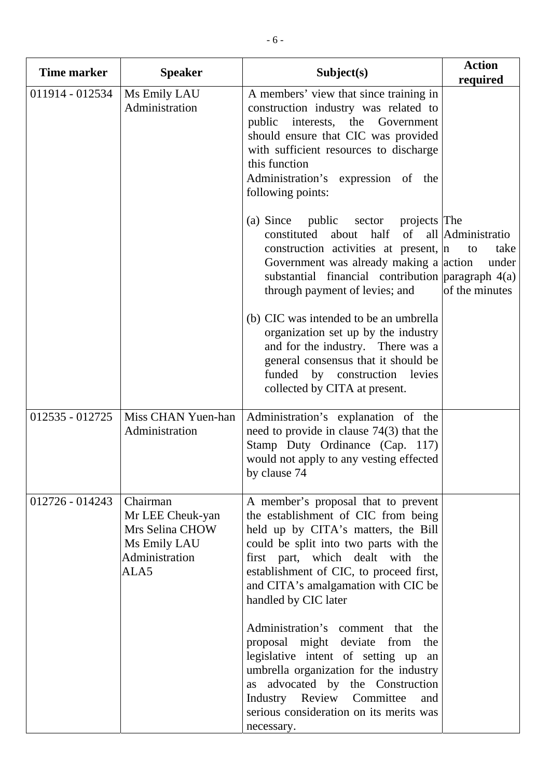| <b>Time marker</b> | <b>Speaker</b>                                                                            | Subject(s)                                                                                                                                                                                                                                                                                                                                                                                                                                                                                        | <b>Action</b><br>required                                  |
|--------------------|-------------------------------------------------------------------------------------------|---------------------------------------------------------------------------------------------------------------------------------------------------------------------------------------------------------------------------------------------------------------------------------------------------------------------------------------------------------------------------------------------------------------------------------------------------------------------------------------------------|------------------------------------------------------------|
| 011914 - 012534    | Ms Emily LAU<br>Administration                                                            | A members' view that since training in<br>construction industry was related to<br>public<br>interests, the Government<br>should ensure that CIC was provided<br>with sufficient resources to discharge<br>this function<br>Administration's expression of the<br>following points:                                                                                                                                                                                                                |                                                            |
|                    |                                                                                           | (a) Since<br>public<br>sector projects The<br>of<br>constituted about half<br>construction activities at present,  n<br>Government was already making a a action<br>substantial financial contribution $\alpha$ paragraph $4(a)$<br>through payment of levies; and<br>(b) CIC was intended to be an umbrella<br>organization set up by the industry<br>and for the industry. There was a<br>general consensus that it should be<br>funded by construction levies<br>collected by CITA at present. | all Administratio<br>take<br>to<br>under<br>of the minutes |
|                    |                                                                                           |                                                                                                                                                                                                                                                                                                                                                                                                                                                                                                   |                                                            |
| 012535 - 012725    | Miss CHAN Yuen-han<br>Administration                                                      | Administration's explanation of the<br>need to provide in clause $74(3)$ that the<br>Stamp Duty Ordinance (Cap. 117)<br>would not apply to any vesting effected<br>by clause 74                                                                                                                                                                                                                                                                                                                   |                                                            |
| 012726 - 014243    | Chairman<br>Mr LEE Cheuk-yan<br>Mrs Selina CHOW<br>Ms Emily LAU<br>Administration<br>ALA5 | A member's proposal that to prevent<br>the establishment of CIC from being<br>held up by CITA's matters, the Bill<br>could be split into two parts with the<br>first part, which dealt with the<br>establishment of CIC, to proceed first,<br>and CITA's amalgamation with CIC be<br>handled by CIC later                                                                                                                                                                                         |                                                            |
|                    |                                                                                           | Administration's comment that<br>the<br>proposal might deviate<br>from<br>the<br>legislative intent of setting up<br>an<br>umbrella organization for the industry<br>as advocated by the Construction<br>Industry Review Committee<br>and<br>serious consideration on its merits was<br>necessary.                                                                                                                                                                                                |                                                            |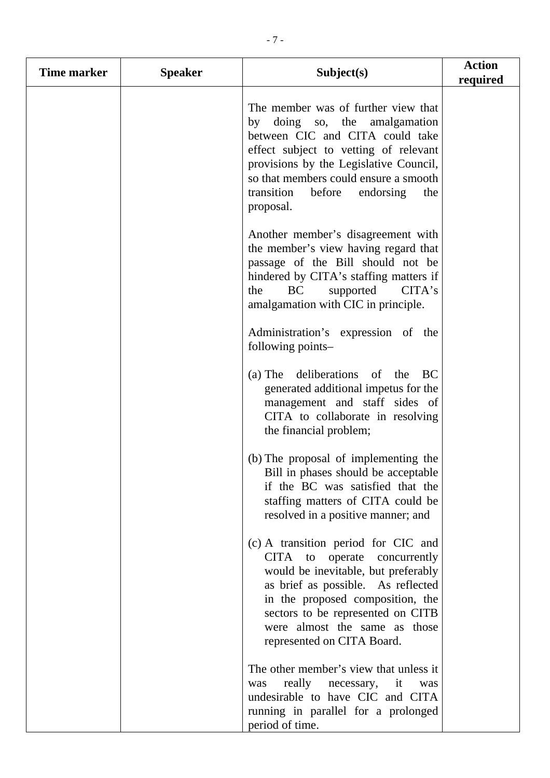| Time marker | <b>Speaker</b> | Subject(s)                                                                                                                                                                                                                                                                                   | <b>Action</b><br>required |
|-------------|----------------|----------------------------------------------------------------------------------------------------------------------------------------------------------------------------------------------------------------------------------------------------------------------------------------------|---------------------------|
|             |                | The member was of further view that<br>by doing so, the amalgamation<br>between CIC and CITA could take<br>effect subject to vetting of relevant<br>provisions by the Legislative Council,<br>so that members could ensure a smooth<br>transition<br>before<br>endorsing<br>the<br>proposal. |                           |
|             |                | Another member's disagreement with<br>the member's view having regard that<br>passage of the Bill should not be<br>hindered by CITA's staffing matters if<br>BC<br>CITA's<br>supported<br>the<br>amalgamation with CIC in principle.                                                         |                           |
|             |                | Administration's expression of the<br>following points-                                                                                                                                                                                                                                      |                           |
|             |                | deliberations of the<br>$(a)$ The<br>BC<br>generated additional impetus for the<br>management and staff sides of<br>CITA to collaborate in resolving<br>the financial problem;                                                                                                               |                           |
|             |                | (b) The proposal of implementing the<br>Bill in phases should be acceptable<br>if the BC was satisfied that the<br>staffing matters of CITA could be<br>resolved in a positive manner; and                                                                                                   |                           |
|             |                | (c) A transition period for CIC and<br>CITA to operate concurrently<br>would be inevitable, but preferably<br>as brief as possible. As reflected<br>in the proposed composition, the<br>sectors to be represented on CITB<br>were almost the same as those<br>represented on CITA Board.     |                           |
|             |                | The other member's view that unless it<br>really<br>necessary,<br>it<br>was<br>was<br>undesirable to have CIC and CITA<br>running in parallel for a prolonged<br>period of time.                                                                                                             |                           |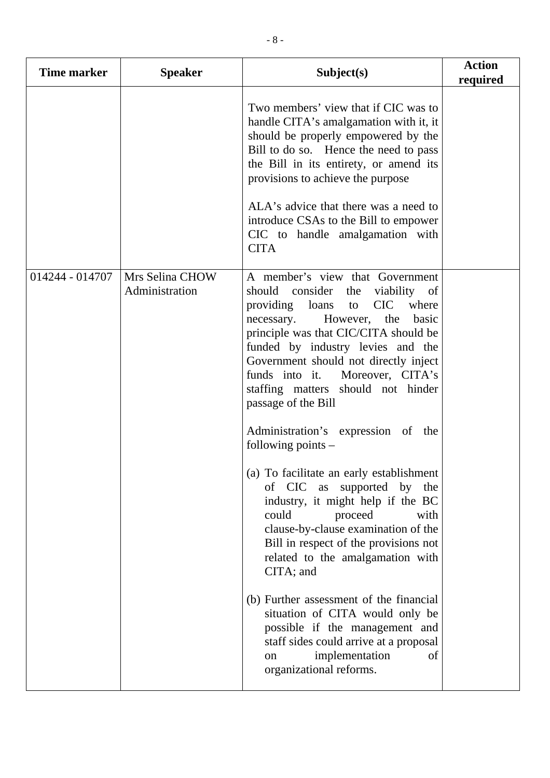| <b>Time marker</b> | <b>Speaker</b>                    | Subject(s)                                                                                                                                                                                                                                                                                                                                                                                                                                                                                                                                                                                                                                                                                                                 | <b>Action</b><br>required |
|--------------------|-----------------------------------|----------------------------------------------------------------------------------------------------------------------------------------------------------------------------------------------------------------------------------------------------------------------------------------------------------------------------------------------------------------------------------------------------------------------------------------------------------------------------------------------------------------------------------------------------------------------------------------------------------------------------------------------------------------------------------------------------------------------------|---------------------------|
|                    |                                   | Two members' view that if CIC was to<br>handle CITA's amalgamation with it, it<br>should be properly empowered by the<br>Bill to do so. Hence the need to pass<br>the Bill in its entirety, or amend its<br>provisions to achieve the purpose<br>ALA's advice that there was a need to<br>introduce CSAs to the Bill to empower<br>CIC to handle amalgamation with<br><b>CITA</b>                                                                                                                                                                                                                                                                                                                                          |                           |
| 014244 - 014707    | Mrs Selina CHOW<br>Administration | A member's view that Government<br>should consider the viability of<br>providing loans<br>CIC where<br>to<br>However, the<br>basic<br>necessary.<br>principle was that CIC/CITA should be<br>funded by industry levies and the<br>Government should not directly inject<br>funds into it. Moreover, CITA's<br>staffing matters should not hinder<br>passage of the Bill<br>Administration's expression of the<br>following points $-$<br>(a) To facilitate an early establishment<br>of CIC<br>supported by<br>as<br>the<br>industry, it might help if the BC<br>could<br>proceed<br>with<br>clause-by-clause examination of the<br>Bill in respect of the provisions not<br>related to the amalgamation with<br>CITA; and |                           |
|                    |                                   | (b) Further assessment of the financial<br>situation of CITA would only be<br>possible if the management and<br>staff sides could arrive at a proposal<br>implementation<br>of<br>on<br>organizational reforms.                                                                                                                                                                                                                                                                                                                                                                                                                                                                                                            |                           |